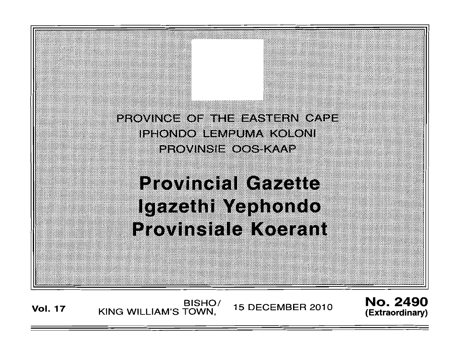

Vol. 17 KING WILLIAM'S TOWN, 15 DECEMBER 2010

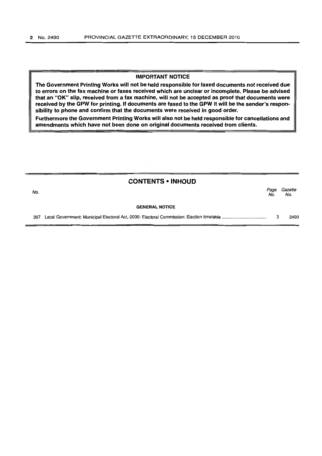# IMPORTANT NOTICE

The Government Printing Works will not be held responsible for faxed documents not received due to errors on the fax machine or faxes received which are unclear or incomplete. Please be advised that an "OK" slip, received from a fax machine, will not be accepted as proof that documents were received by the GPW for printing. If documents are faxed to the GPW it will be the sender's responsibility to phone and confirm that the documents were received in good order.

Furthermore the Government Printing Works will also not be held responsible for cancellations and amendments which have not been done on original documents received from clients.

# CONTENTS • INHOUD

| No.                   | Page<br>No. | Gazette<br>No. |
|-----------------------|-------------|----------------|
| <b>GENERAL NOTICE</b> |             |                |
| 397                   |             | 2490           |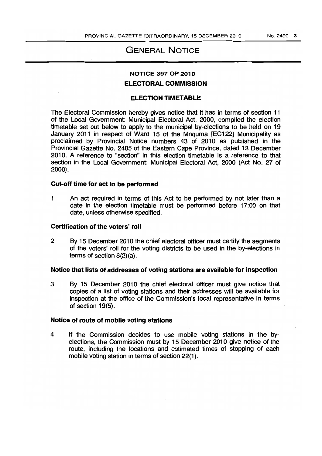# GENERAL NOTICE

# NOTICE 397 OF 2010

# ELECTORAL COMMISSION

# ELECTION TIMETABLE

The Electoral Commission hereby gives notice that it has in terms of section 11 of the Local Government: Municipal Electoral Act, 2000, compiled the election timetable set out below to apply to the municipal by-elections to be held on 19 January 2011 in respect of Ward 15 of the Mnquma [EC1221 Municipality as proclaimed by Provincial Notice numbers 43 of 2010 as published in the Provincial Gazette No. 2485 of the Eastern Cape Province, dated 13 December 2010. A reference to "section" in this election timetable is a reference to that section in the Local Government: Municipal Electoral Act, 2000 (Act No. 27 of 2000).

#### Cut-off time for act to be performed

1 An act required in terms of this Act to be performed by not later than a date in the election timetable must be performed before 17:00 on that date, unless otherwise specified.

#### Certification of the voters' roll

2 By 15 December 2010 the chief electoral officer must certify the segments of the voters' roll for the voting districts to be used in the by-elections in terms of section 6(2)(a).

# Notice that lists of addresses of voting stations are available for inspection

3 By 15 December 2010 the chief electoral officer must give notice that copies of a list of voting stations and their addresses will be available for inspection at the office of the Commission's local representative in terms. of section 19(5).

## Notice of route of mobile voting stations

4 If the Commission decides to use mobile voting stations in the byelections, the Commission must by 15 December 2010 give notice of the route, including the locations and estimated times of stopping of each mobile voting station in terms of section 22(1).